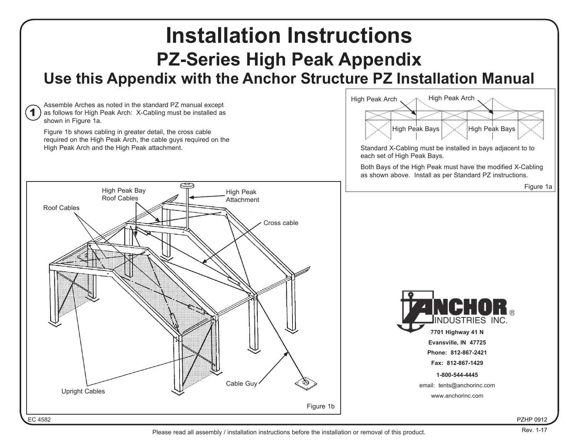

Please read all assembly / installation instructions before the installation or removal of this product.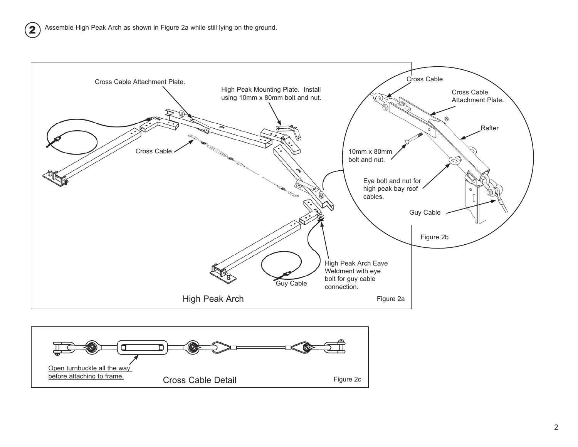2



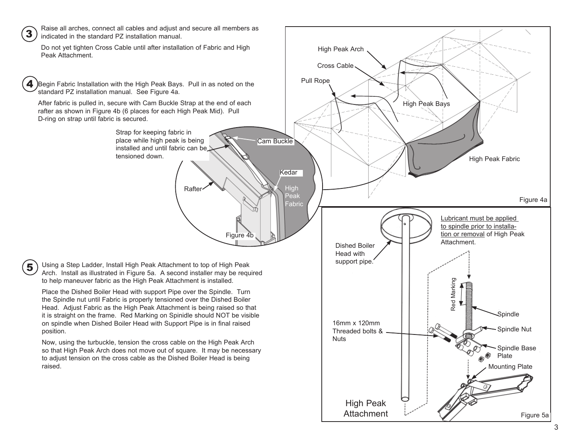

5

Raise all arches, connect all cables and adjust and secure all members as indicated in the standard PZ installation manual.

Do not yet tighten Cross Cable until after installation of Fabric and High Peak Attachment.

Begin Fabric Installation with the High Peak Bays. Pull in as noted on the standard PZ installation manual. See Figure 4a. 4

After fabric is pulled in, secure with Cam Buckle Strap at the end of each rafter as shown in Figure 4b (6 places for each High Peak Mid). Pull D-ring on strap until fabric is secured.

> Strap for keeping fabric in place while high peak is being installed and until fabric can be tensioned down.

> > **Rafter**

Figure 4b

π

Using a Step Ladder, Install High Peak Attachment to top of High Peak Arch. Install as illustrated in Figure 5a. A second installer may be required to help maneuver fabric as the High Peak Attachment is installed.

Place the Dished Boiler Head with support Pipe over the Spindle. Turn the Spindle nut until Fabric is properly tensioned over the Dished Boiler Head. Adjust Fabric as the High Peak Attachment is being raised so that it is straight on the frame. Red Marking on Spinidle should NOT be visible on spindle when Dished Boiler Head with Support Pipe is in final raised position.

Now, using the turbuckle, tension the cross cable on the High Peak Arch so that High Peak Arch does not move out of square. It may be necessary to adjust tension on the cross cable as the Dished Boiler Head is being raised.

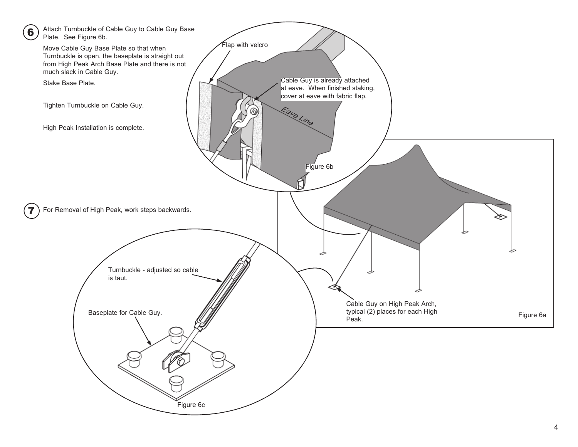